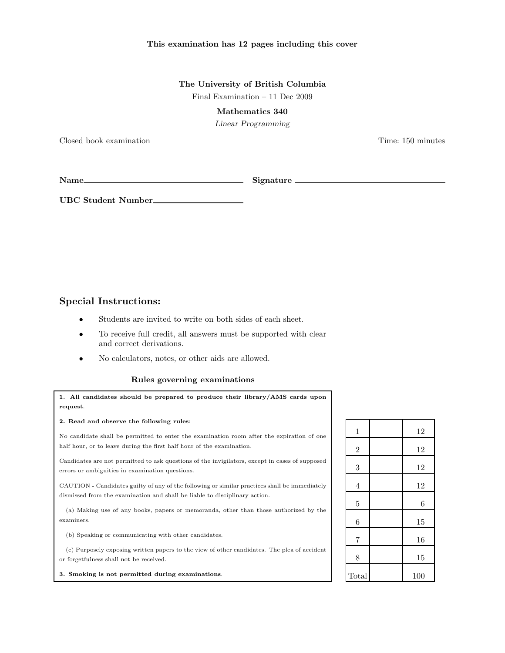## This examination has 12 pages including this cover

The University of British Columbia Final Examination – 11 Dec 2009

Mathematics 340

Linear Programming

Closed book examination Time: 150 minutes

UBC Student Number

Name Signature

Special Instructions:

- Students are invited to write on both sides of each sheet.
- To receive full credit, all answers must be supported with clear and correct derivations.
- No calculators, notes, or other aids are allowed.

## Rules governing examinations

1. All candidates should be prepared to produce their library/AMS cards upon request.

2. Read and observe the following rules:

No candidate shall be permitted to enter the examination room after the expiration of one half hour, or to leave during the first half hour of the examination.

Candidates are not permitted to ask questions of the invigilators, except in cases of supposed errors or ambiguities in examination questions.

CAUTION - Candidates guilty of any of the following or similar practices shall be immediately dismissed from the examination and shall be liable to disciplinary action.

(a) Making use of any books, papers or memoranda, other than those authorized by the examiners.

(b) Speaking or communicating with other candidates.

(c) Purposely exposing written papers to the view of other candidates. The plea of accident or forgetfulness shall not be received.

3. Smoking is not permitted during examinations.

| $\mathbf 1$      | 12  |
|------------------|-----|
| $\overline{2}$   | 12  |
| 3                | 12  |
| $\overline{4}$   | 12  |
| $\overline{5}$   | 6   |
| $\boldsymbol{6}$ | 15  |
| $\overline{7}$   | 16  |
| 8                | 15  |
| Total            | 100 |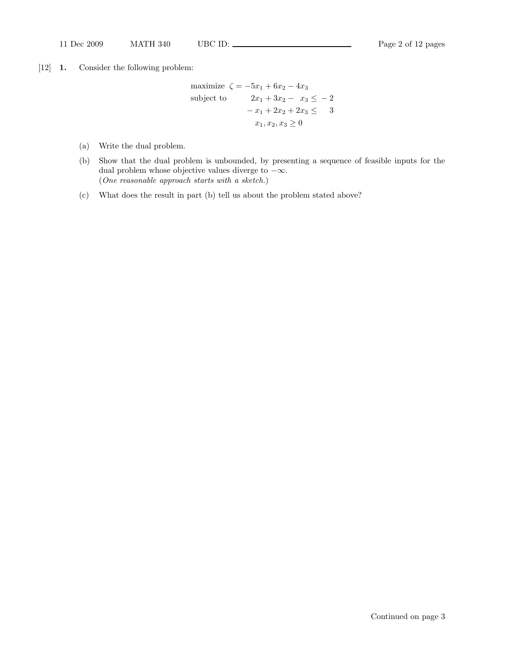[12] 1. Consider the following problem:

maximize  $\zeta = -5x_1 + 6x_2 - 4x_3$ subject to  $2x_1 + 3x_2 - x_3 \le -2$  $-x_1 + 2x_2 + 2x_3 \leq 3$  $x_1, x_2, x_3 \geq 0$ 

- (a) Write the dual problem.
- (b) Show that the dual problem is unbounded, by presenting a sequence of feasible inputs for the dual problem whose objective values diverge to  $-\infty$ . (One reasonable approach starts with a sketch.)
- (c) What does the result in part (b) tell us about the problem stated above?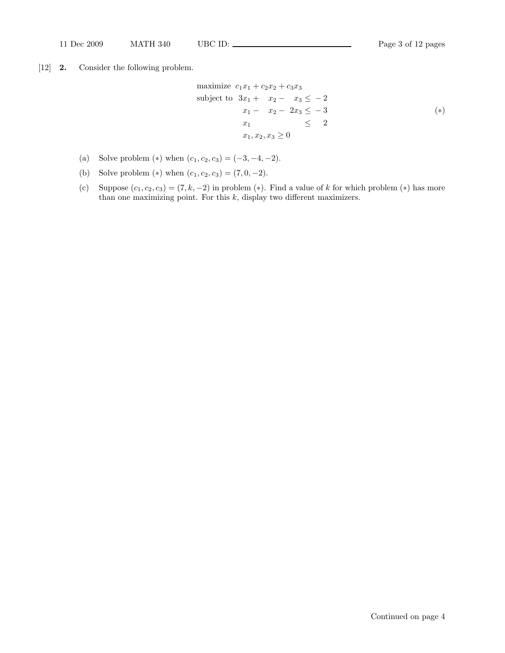[12] 2. Consider the following problem.

maximize 
$$
c_1x_1 + c_2x_2 + c_3x_3
$$
  
\nsubject to  $3x_1 + x_2 - x_3 \le -2$   
\n $x_1 - x_2 - 2x_3 \le -3$   
\n $x_1 \le 2$   
\n $x_1, x_2, x_3 \ge 0$   $(*)$ 

- (a) Solve problem  $(*)$  when  $(c_1, c_2, c_3) = (-3, -4, -2)$ .
- (b) Solve problem  $(*)$  when  $(c_1, c_2, c_3) = (7, 0, -2)$ .
- (c) Suppose  $(c_1, c_2, c_3) = (7, k, -2)$  in problem (\*). Find a value of k for which problem (\*) has more than one maximizing point. For this  $k$ , display two different maximizers.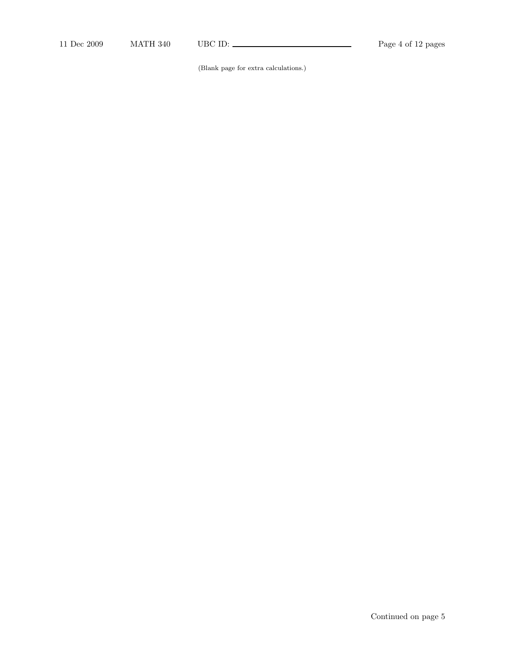(Blank page for extra calculations.)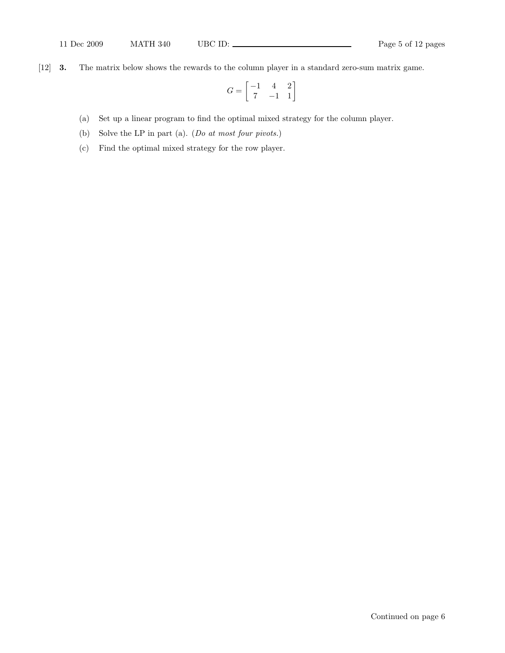[12] 3. The matrix below shows the rewards to the column player in a standard zero-sum matrix game.

$$
G = \begin{bmatrix} -1 & 4 & 2 \\ 7 & -1 & 1 \end{bmatrix}
$$

- (a) Set up a linear program to find the optimal mixed strategy for the column player.
- (b) Solve the LP in part (a). (Do at most four pivots.)
- (c) Find the optimal mixed strategy for the row player.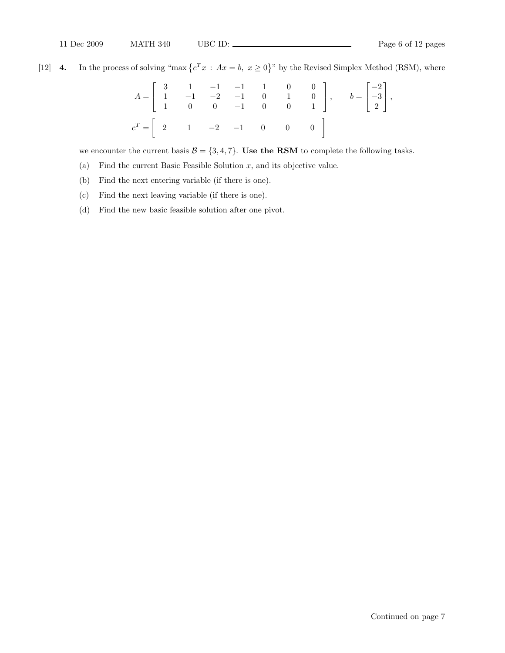[12] 4. In the process of solving "max  $\{c^T x : Ax = b, x \ge 0\}$ " by the Revised Simplex Method (RSM), where

$$
A = \begin{bmatrix} 3 & 1 & -1 & -1 & 1 & 0 & 0 \\ 1 & -1 & -2 & -1 & 0 & 1 & 0 \\ 1 & 0 & 0 & -1 & 0 & 0 & 1 \end{bmatrix}, \t b = \begin{bmatrix} -2 \\ -3 \\ 2 \end{bmatrix},
$$
  

$$
c^T = \begin{bmatrix} 2 & 1 & -2 & -1 & 0 & 0 & 0 \\ 0 & 0 & 0 & 0 & 0 \\ 0 & 0 & 0 & 0 & 0 \end{bmatrix}
$$

we encounter the current basis  $\mathcal{B} = \{3, 4, 7\}$ . Use the RSM to complete the following tasks.

- (a) Find the current Basic Feasible Solution  $x$ , and its objective value.
- (b) Find the next entering variable (if there is one).
- (c) Find the next leaving variable (if there is one).
- (d) Find the new basic feasible solution after one pivot.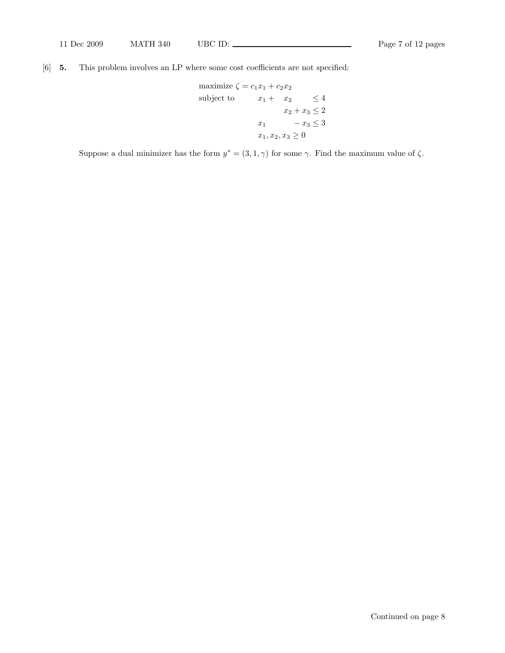[6] 5. This problem involves an LP where some cost coefficients are not specified:

maximize 
$$
\zeta = c_1 x_1 + c_2 x_2
$$
  
\nsubject to  $x_1 + x_2 \le 4$   
\n $x_2 + x_3 \le 2$   
\n $x_1 - x_3 \le 3$   
\n $x_1, x_2, x_3 \ge 0$ 

Suppose a dual minimizer has the form  $y^* = (3, 1, \gamma)$  for some  $\gamma$ . Find the maximum value of  $\zeta$ .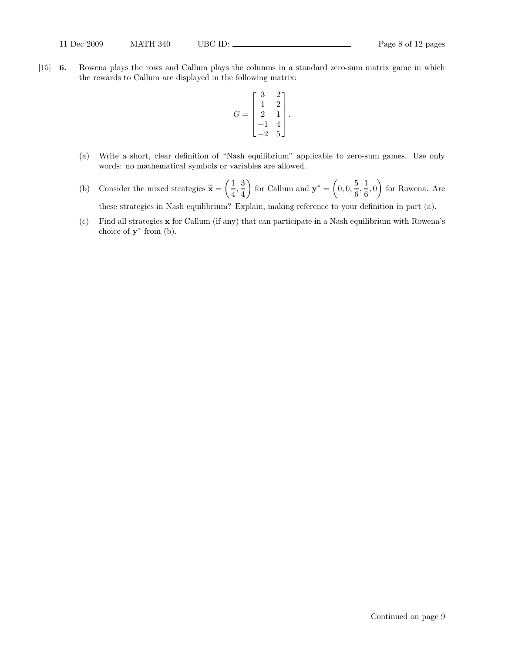[15] 6. Rowena plays the rows and Callum plays the columns in a standard zero-sum matrix game in which the rewards to Callum are displayed in the following matrix:

$$
G = \begin{bmatrix} 3 & 2 \\ 1 & 2 \\ 2 & 1 \\ -1 & 4 \\ -2 & 5 \end{bmatrix}.
$$

- (a) Write a short, clear definition of "Nash equilibrium" applicable to zero-sum games. Use only words: no mathematical symbols or variables are allowed.
- (b) Consider the mixed strategies  $\tilde{\mathbf{x}} =$  $(1)$  $\frac{1}{4}$ ,  $\frac{3}{4}$ 4  $\overline{ }$ for Callum and  $y^* = ($  $0, 0, \frac{5}{6}$  $\frac{5}{6}, \frac{1}{6}$  $\frac{1}{6}$ , 0  $\overline{ }$ for Rowena. Are these strategies in Nash equilibrium? Explain, making reference to your definition in part (a).
- (c) Find all strategies x for Callum (if any) that can participate in a Nash equilibrium with Rowena's choice of  $\mathbf{y}^*$  from (b).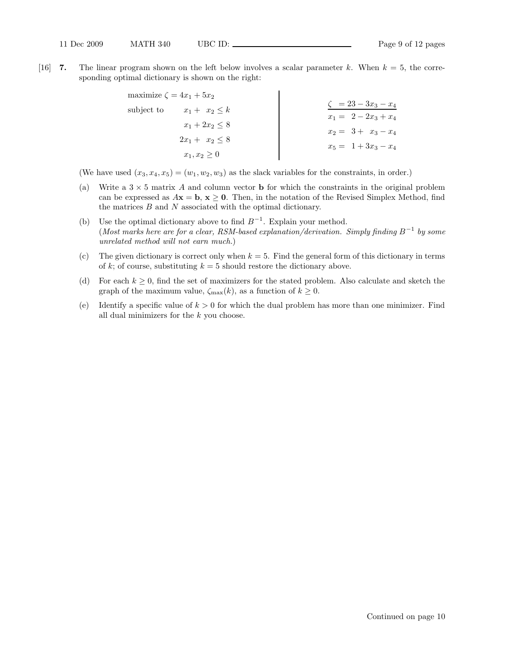[16] **7.** The linear program shown on the left below involves a scalar parameter k. When  $k = 5$ , the corresponding optimal dictionary is shown on the right:

| maximize $\zeta = 4x_1 + 5x_2$   |                                                     |
|----------------------------------|-----------------------------------------------------|
| subject to<br>$x_1 + x_2 \leq k$ | $\zeta = 23 - 3x_3 - x_4$<br>$x_1 = 2 - 2x_3 + x_4$ |
| $x_1 + 2x_2 \leq 8$              | $x_2 = 3 + x_3 - x_4$                               |
| $2x_1 + x_2 \leq 8$              | $x_5 = 1 + 3x_3 - x_4$                              |
| $x_1, x_2 \geq 0$                |                                                     |

(We have used  $(x_3, x_4, x_5) = (w_1, w_2, w_3)$  as the slack variables for the constraints, in order.)

- (a) Write a  $3 \times 5$  matrix A and column vector **b** for which the constraints in the original problem can be expressed as  $A\mathbf{x} = \mathbf{b}, \mathbf{x} \geq \mathbf{0}$ . Then, in the notation of the Revised Simplex Method, find the matrices  $B$  and  $N$  associated with the optimal dictionary.
- (b) Use the optimal dictionary above to find  $B^{-1}$ . Explain your method. (Most marks here are for a clear, RSM-based explanation/derivation. Simply finding  $B^{-1}$  by some unrelated method will not earn much.)
- (c) The given dictionary is correct only when  $k = 5$ . Find the general form of this dictionary in terms of k; of course, substituting  $k = 5$  should restore the dictionary above.
- (d) For each  $k \geq 0$ , find the set of maximizers for the stated problem. Also calculate and sketch the graph of the maximum value,  $\zeta_{\text{max}}(k)$ , as a function of  $k \geq 0$ .
- (e) Identify a specific value of  $k > 0$  for which the dual problem has more than one minimizer. Find all dual minimizers for the k you choose.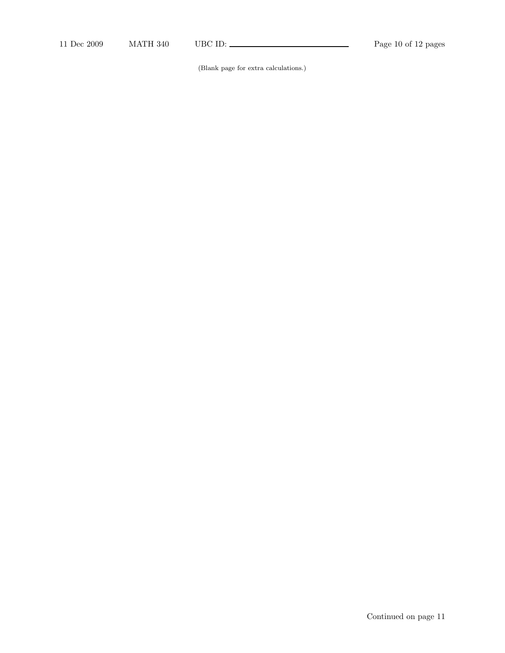(Blank page for extra calculations.)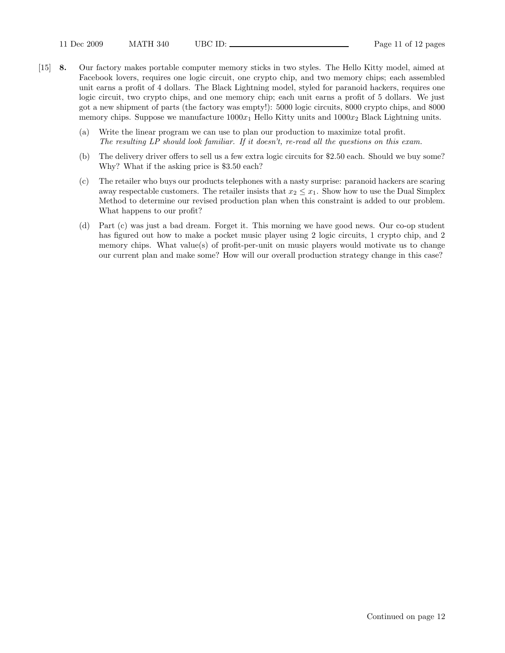- [15] 8. Our factory makes portable computer memory sticks in two styles. The Hello Kitty model, aimed at Facebook lovers, requires one logic circuit, one crypto chip, and two memory chips; each assembled unit earns a profit of 4 dollars. The Black Lightning model, styled for paranoid hackers, requires one logic circuit, two crypto chips, and one memory chip; each unit earns a profit of 5 dollars. We just got a new shipment of parts (the factory was empty!): 5000 logic circuits, 8000 crypto chips, and 8000 memory chips. Suppose we manufacture  $1000x_1$  Hello Kitty units and  $1000x_2$  Black Lightning units.
	- (a) Write the linear program we can use to plan our production to maximize total profit. The resulting LP should look familiar. If it doesn't, re-read all the questions on this exam.
	- (b) The delivery driver offers to sell us a few extra logic circuits for \$2.50 each. Should we buy some? Why? What if the asking price is \$3.50 each?
	- (c) The retailer who buys our products telephones with a nasty surprise: paranoid hackers are scaring away respectable customers. The retailer insists that  $x_2 \leq x_1$ . Show how to use the Dual Simplex Method to determine our revised production plan when this constraint is added to our problem. What happens to our profit?
	- (d) Part (c) was just a bad dream. Forget it. This morning we have good news. Our co-op student has figured out how to make a pocket music player using 2 logic circuits, 1 crypto chip, and 2 memory chips. What value(s) of profit-per-unit on music players would motivate us to change our current plan and make some? How will our overall production strategy change in this case?